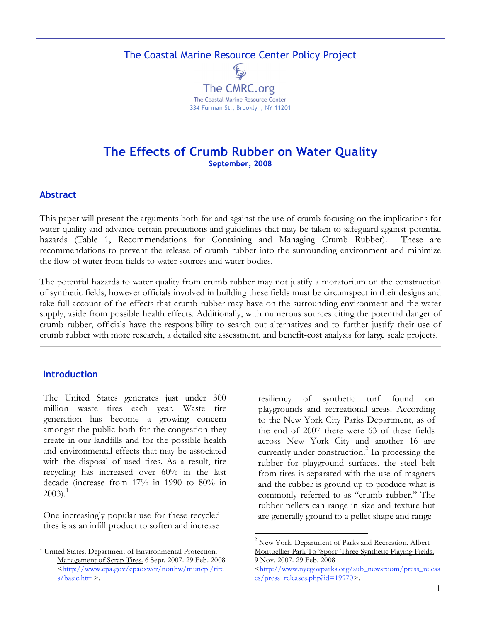The Coastal Marine Resource Center Policy Project



# **The Effects of Crumb Rubber on Water Quality September, 2008**

#### **Abstract**

This paper will present the arguments both for and against the use of crumb focusing on the implications for water quality and advance certain precautions and guidelines that may be taken to safeguard against potential hazards (Table 1, Recommendations for Containing and Managing Crumb Rubber). These are recommendations to prevent the release of crumb rubber into the surrounding environment and minimize the flow of water from fields to water sources and water bodies.

The potential hazards to water quality from crumb rubber may not justify a moratorium on the construction of synthetic fields, however officials involved in building these fields must be circumspect in their designs and take full account of the effects that crumb rubber may have on the surrounding environment and the water supply, aside from possible health effects. Additionally, with numerous sources citing the potential danger of crumb rubber, officials have the responsibility to search out alternatives and to further justify their use of crumb rubber with more research, a detailed site assessment, and benefit-cost analysis for large scale projects.

#### **Introduction**

The United States generates just under 300 million waste tires each year. Waste tire generation has become a growing concern amongst the public both for the congestion they create in our landfills and for the possible health and environmental effects that may be associated with the disposal of used tires. As a result, tire recycling has increased over 60% in the last decade (increase from 17% in 1990 to 80% in  $2003$ ).<sup>1</sup>

One increasingly popular use for these recycled tires is as an infill product to soften and increase

resiliency of synthetic turf found on playgrounds and recreational areas. According to the New York City Parks Department, as of the end of 2007 there were 63 of these fields across New York City and another 16 are currently under construction. <sup>2</sup> In processing the rubber for playground surfaces, the steel belt from tires is separated with the use of magnets and the rubber is ground up to produce what is commonly referred to as "crumb rubber." The rubber pellets can range in size and texture but are generally ground to a pellet shape and range

<sup>&</sup>lt;sup>1</sup> United States. Department of Environmental Protection. Management of Scrap Tires. 6 Sept. 2007. 29 Feb. 2008 <http://www.epa.gov/epaoswer/nonhw/muncpl/tire s/basic.htm>.

 $2$  New York. Department of Parks and Recreation. Albert Montbellier Park To 'Sport' Three Synthetic Playing Fields. 9 Nov. 2007. 29 Feb. 2008

<sup>&</sup>lt;http://www.nycgovparks.org/sub\_newsroom/press\_releas es/press\_releases.php?id=19970>.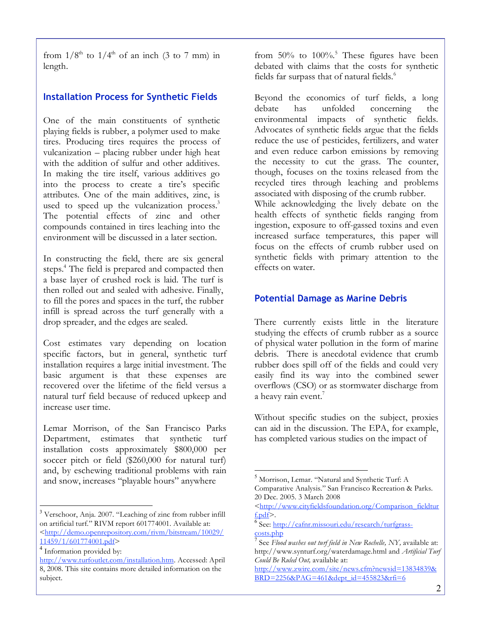from  $1/8^{th}$  to  $1/4^{th}$  of an inch (3 to 7 mm) in length.

### **Installation Process for Synthetic Fields**

One of the main constituents of synthetic playing fields is rubber, a polymer used to make tires. Producing tires requires the process of vulcanization – placing rubber under high heat with the addition of sulfur and other additives. In making the tire itself, various additives go into the process to create a tire's specific attributes. One of the main additives, zinc, is used to speed up the vulcanization process.<sup>3</sup> The potential effects of zinc and other compounds contained in tires leaching into the environment will be discussed in a later section.

In constructing the field, there are six general steps. <sup>4</sup> The field is prepared and compacted then a base layer of crushed rock is laid. The turf is then rolled out and sealed with adhesive. Finally, to fill the pores and spaces in the turf, the rubber infill is spread across the turf generally with a drop spreader, and the edges are sealed.

Cost estimates vary depending on location specific factors, but in general, synthetic turf installation requires a large initial investment. The basic argument is that these expenses are recovered over the lifetime of the field versus a natural turf field because of reduced upkeep and increase user time.

Lemar Morrison, of the San Francisco Parks Department, estimates that synthetic turf installation costs approximately \$800,000 per soccer pitch or field (\$260,000 for natural turf) and, by eschewing traditional problems with rain and snow, increases "playable hours" anywhere

<sup>3</sup> Verschoor, Anja. 2007. "Leaching of zinc from rubber infill on artificial turf." RIVM report 601774001. Available at: <http://demo.openrepository.com/rivm/bitstream/10029/ 11459/1/601774001.pdf>

from 50% to 100%.<sup>5</sup> These figures have been debated with claims that the costs for synthetic fields far surpass that of natural fields.<sup>6</sup>

Beyond the economics of turf fields, a long debate has unfolded concerning the environmental impacts of synthetic fields. Advocates of synthetic fields argue that the fields reduce the use of pesticides, fertilizers, and water and even reduce carbon emissions by removing the necessity to cut the grass. The counter, though, focuses on the toxins released from the recycled tires through leaching and problems associated with disposing of the crumb rubber. While acknowledging the lively debate on the health effects of synthetic fields ranging from

ingestion, exposure to off-gassed toxins and even increased surface temperatures, this paper will focus on the effects of crumb rubber used on synthetic fields with primary attention to the effects on water.

#### **Potential Damage as Marine Debris**

There currently exists little in the literature studying the effects of crumb rubber as a source of physical water pollution in the form of marine debris. There is anecdotal evidence that crumb rubber does spill off of the fields and could very easily find its way into the combined sewer overflows (CSO) or as stormwater discharge from a heavy rain event.<sup>7</sup>

Without specific studies on the subject, proxies can aid in the discussion. The EPA, for example, has completed various studies on the impact of

<sup>4</sup> Information provided by:

http://www.turfoutlet.com/installation.htm. Accessed: April 8, 2008. This site contains more detailed information on the subject.

 <sup>5</sup> Morrison, Lemar. "Natural and Synthetic Turf: <sup>A</sup> Comparative Analysis." San Francisco Recreation & Parks. 20 Dec. 2005. 3 March 2008

<sup>&</sup>lt;http://www.cityfieldsfoundation.org/Comparison\_fieldtur f.pdf>.<br><sup>6</sup> See: <u>http://cafnr.missouri.edu/research/turfgrass-</u>

costs.php <sup>7</sup> See *Flood washes out turf field in New Rochelle, NY,* available at: http://www.synturf.org/waterdamage.html and *Artificial Turf Could Be Ruled Out,* available at:

http://www.zwire.com/site/news.cfm?newsid=13834839& BRD=2256&PAG=461&dept\_id=455823&rfi=6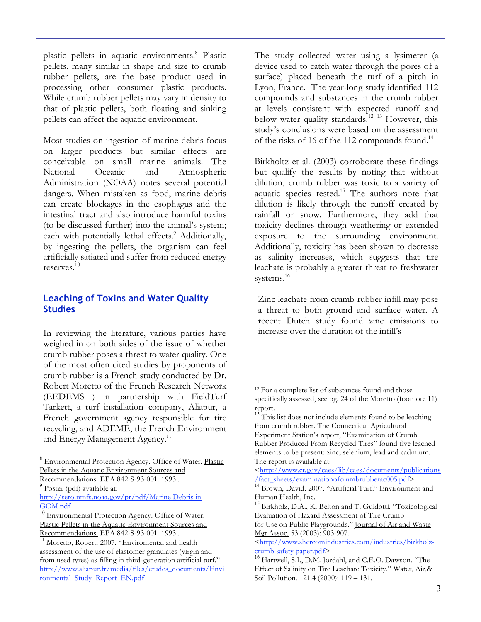plastic pellets in aquatic environments. <sup>8</sup> Plastic pellets, many similar in shape and size to crumb rubber pellets, are the base product used in processing other consumer plastic products. While crumb rubber pellets may vary in density to that of plastic pellets, both floating and sinking pellets can affect the aquatic environment.

Most studies on ingestion of marine debris focus on larger products but similar effects are conceivable on small marine animals. The National Oceanic and Atmospheric Administration (NOAA) notes several potential dangers. When mistaken as food, marine debris can create blockages in the esophagus and the intestinal tract and also introduce harmful toxins (to be discussed further) into the animal's system; each with potentially lethal effects.<sup>9</sup> Additionally, by ingesting the pellets, the organism can feel artificially satiated and suffer from reduced energy reserves. 10

### **Leaching of Toxins and Water Quality Studies**

In reviewing the literature, various parties have weighed in on both sides of the issue of whether crumb rubber poses a threat to water quality. One of the most often cited studies by proponents of crumb rubber is a French study conducted by Dr. Robert Moretto of the French Research Network (EEDEMS ) in partnership with FieldTurf Tarkett, a turf installation company, Aliapur, a French government agency responsible for tire recycling, and ADEME, the French Environment and Energy Management Agency.<sup>11</sup>

The study collected water using a lysimeter (a device used to catch water through the pores of a surface) placed beneath the turf of a pitch in Lyon, France. The year-long study identified 112 compounds and substances in the crumb rubber at levels consistent with expected runoff and below water quality standards.<sup>12</sup> <sup>13</sup> However, this study's conclusions were based on the assessment of the risks of 16 of the 112 compounds found.<sup>14</sup>

Birkholtz et al. (2003) corroborate these findings but qualify the results by noting that without dilution, crumb rubber was toxic to a variety of aquatic species tested.15 The authors note that dilution is likely through the runoff created by rainfall or snow. Furthermore, they add that toxicity declines through weathering or extended exposure to the surrounding environment. Additionally, toxicity has been shown to decrease as salinity increases, which suggests that tire leachate is probably a greater threat to freshwater systems. 16

Zinc leachate from crumb rubber infill may pose a threat to both ground and surface water. A recent Dutch study found zinc emissions to increase over the duration of the infill's

 $\overline{a}$ 

 <sup>8</sup> Environmental Protection Agency. Office of Water. Plastic Pellets in the Aquatic Environment Sources and

Recommendations. EPA 842-S-93-001. 1993.<br><sup>9</sup> Poster (pdf) available at:

http://sero.nmfs.noaa.gov/pr/pdf/Marine Debris in

 $10$  Environmental Protection Agency. Office of Water. Plastic Pellets in the Aquatic Environment Sources and Recommendations. EPA 842-S-93-001. 1993 .<br><sup>11</sup> Moretto, Robert. 2007. "Enviromental and health

assessment of the use of elastomer granulates (virgin and from used tyres) as filling in third-generation artificial turf." http://www.aliapur.fr/media/files/etudes\_documents/Envi ronmental\_Study\_Report\_EN.pdf

<sup>&</sup>lt;sup>12</sup> For a complete list of substances found and those specifically assessed, see pg. 24 of the Moretto (footnote 11) report.<br><sup>13</sup> This list does not include elements found to be leaching

from crumb rubber. The Connecticut Agricultural Experiment Station's report, "Examination of Crumb Rubber Produced From Recycled Tires" found five leached elements to be present: zinc, selenium, lead and cadmium. The report is available at:

<sup>&</sup>lt;http://www.ct.gov/caes/lib/caes/documents/publications<br>/fact\_sheets/examinationofcrumbrubberac005.pdf>

<sup>&</sup>lt;sup>14</sup> Brown, David. 2007. "Artificial Turf." Environment and Human Health, Inc.

<sup>&</sup>lt;sup>15</sup> Birkholz, D.A., K. Belton and T. Guidotti. "Toxicological Evaluation of Hazard Assessment of Tire Crumb for Use on Public Playgrounds." Journal of Air and Waste

Mgt Assoc. 53 (2003): 903-907.

<sup>&</sup>lt;http://www.shercomindustries.com/industries/birkholz-<br>crumb safety paper.pdf>

<sup>&</sup>lt;sup>16</sup> Hartwell, S.I., D.M. Jordahl, and C.E.O. Dawson. "The Effect of Salinity on Tire Leachate Toxicity." Water, Air,& Soil Pollution. 121.4 (2000): 119 - 131.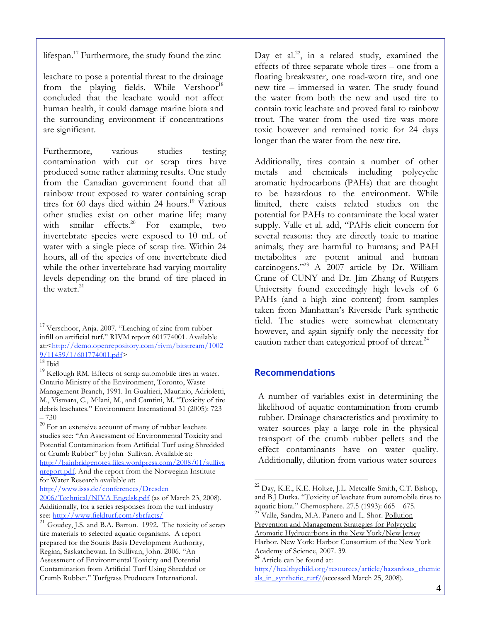lifespan.<sup>17</sup> Furthermore, the study found the zinc

leachate to pose a potential threat to the drainage from the playing fields. While Vershoor<sup>18</sup> concluded that the leachate would not affect human health, it could damage marine biota and the surrounding environment if concentrations are significant.

Furthermore, various studies testing contamination with cut or scrap tires have produced some rather alarming results. One study from the Canadian government found that all rainbow trout exposed to water containing scrap tires for 60 days died within 24 hours. <sup>19</sup> Various other studies exist on other marine life; many with similar effects.<sup>20</sup> For example, two invertebrate species were exposed to 10 mL of water with a single piece of scrap tire. Within 24 hours, all of the species of one invertebrate died while the other invertebrate had varying mortality levels depending on the brand of tire placed in the water. 21

Day et al.<sup>22</sup>, in a related study, examined the effects of three separate whole tires – one from a floating breakwater, one road-worn tire, and one new tire – immersed in water. The study found the water from both the new and used tire to contain toxic leachate and proved fatal to rainbow trout. The water from the used tire was more toxic however and remained toxic for 24 days longer than the water from the new tire.

Additionally, tires contain a number of other metals and chemicals including polycyclic aromatic hydrocarbons (PAHs) that are thought to be hazardous to the environment. While limited, there exists related studies on the potential for PAHs to contaminate the local water supply. Valle et al. add, "PAHs elicit concern for several reasons: they are directly toxic to marine animals; they are harmful to humans; and PAH metabolites are potent animal and human carcinogens."23 A 2007 article by Dr. William Crane of CUNY and Dr. Jim Zhang of Rutgers University found exceedingly high levels of 6 PAHs (and a high zinc content) from samples taken from Manhattan's Riverside Park synthetic field. The studies were somewhat elementary however, and again signify only the necessity for caution rather than categorical proof of threat.<sup>24</sup>

### **Recommendations**

A number of variables exist in determining the likelihood of aquatic contamination from crumb rubber. Drainage characteristics and proximity to water sources play a large role in the physical transport of the crumb rubber pellets and the effect contaminants have on water quality. Additionally, dilution from various water sources

Aromatic Hydrocarbons in the New York/New Jersey

Harbor. New York: Harbor Consortium of the New York<br>Academy of Science, 2007. 39.

 $24$  Article can be found at:

<sup>&</sup>lt;sup>17</sup> Verschoor, Anja. 2007. "Leaching of zinc from rubber infill on artificial turf." RIVM report 601774001. Available at: $\frac{\text{http://demo.openrepository.com/rium/bitstream/1002}}{9/11459/1/601774001.pdf}$ 

 $\frac{19}{18}$  Ibid  $\frac{19}{18}$  Kellough RM. Effects of scrap automobile tires in water. Ontario Ministry of the Environment, Toronto, Waste Management Branch, 1991. In Gualtieri, Maurizio, Adrioletti, M., Vismara, C., Milani, M., and Camtini, M. "Toxicity of tire debris leachates." Environment International 31 (2005): 723

 $-730$ <br><sup>20</sup> For an extensive account of many of rubber leachate studies see: "An Assessment of Environmental Toxicity and Potential Contamination from Artificial Turf using Shredded or Crumb Rubber" by John Sullivan. Available at:

http://bainbridgenotes.files.wordpress.com/2008/01/sulliva nreport.pdf. And the report from the Norwegian Institute for Water Research available at:

http://www.isss.de/conferences/Dresden

 $2006$ /Technical/NIVA Engelsk.pdf (as of March 23, 2008). Additionally, for a series responses from the turf industry<br>see: http://www.fieldturf.com/sbrfacts/

<sup>&</sup>lt;sup>21</sup> Goudey, J.S. and B.A. Barton. 1992. The toxicity of scrap tire materials to selected aquatic organisms. A report prepared for the Souris Basis Development Authority, Regina, Saskatchewan. In Sullivan, John. 2006. "An Assessment of Environmental Toxicity and Potential Contamination from Artificial Turf Using Shredded or Crumb Rubber." Turfgrass Producers International.

<sup>&</sup>lt;sup>22</sup> Day, K.E., K.E. Holtze, J.L. Metcalfe-Smith, C.T. Bishop, and B.J Dutka. "Toxicity of leachate from automobile tires to aquatic biota." Chemosphere. 27.5 (1993): 665 - 675.

<sup>&</sup>lt;sup>23</sup> Valle, Sandra, M.A. Panero and L. Shor. Pollution Prevention and Management Strategies for Polycyclic

http://healthychild.org/resources/article/hazardous\_chemic als\_in\_synthetic\_turf/(accessed March 25, 2008).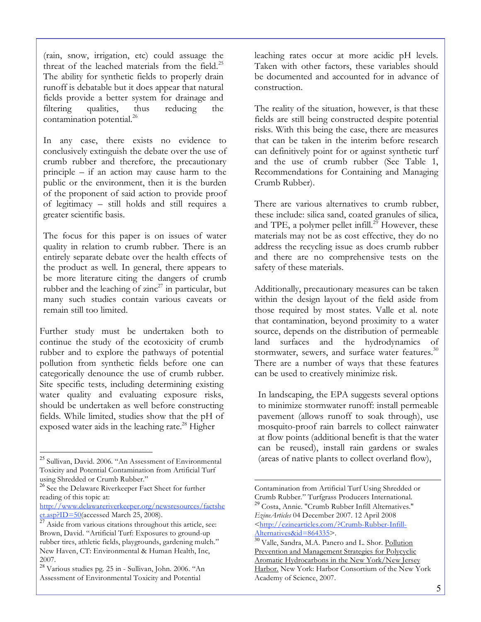(rain, snow, irrigation, etc) could assuage the threat of the leached materials from the field. $25$ The ability for synthetic fields to properly drain runoff is debatable but it does appear that natural fields provide a better system for drainage and filtering qualities, thus reducing the contamination potential. 26

In any case, there exists no evidence to conclusively extinguish the debate over the use of crumb rubber and therefore, the precautionary principle – if an action may cause harm to the public or the environment, then it is the burden of the proponent of said action to provide proof of legitimacy – still holds and still requires a greater scientific basis.

The focus for this paper is on issues of water quality in relation to crumb rubber. There is an entirely separate debate over the health effects of the product as well. In general, there appears to be more literature citing the dangers of crumb rubber and the leaching of  $zinc^{27}$  in particular, but many such studies contain various caveats or remain still too limited.

Further study must be undertaken both to continue the study of the ecotoxicity of crumb rubber and to explore the pathways of potential pollution from synthetic fields before one can categorically denounce the use of crumb rubber. Site specific tests, including determining existing water quality and evaluating exposure risks, should be undertaken as well before constructing fields. While limited, studies show that the pH of exposed water aids in the leaching rate.<sup>28</sup> Higher

leaching rates occur at more acidic pH levels. Taken with other factors, these variables should be documented and accounted for in advance of construction.

The reality of the situation, however, is that these fields are still being constructed despite potential risks. With this being the case, there are measures that can be taken in the interim before research can definitively point for or against synthetic turf and the use of crumb rubber (See Table 1, Recommendations for Containing and Managing Crumb Rubber).

There are various alternatives to crumb rubber, these include: silica sand, coated granules of silica, and TPE, a polymer pellet infill.<sup>29</sup> However, these materials may not be as cost effective, they do no address the recycling issue as does crumb rubber and there are no comprehensive tests on the safety of these materials.

Additionally, precautionary measures can be taken within the design layout of the field aside from those required by most states. Valle et al. note that contamination, beyond proximity to a water source, depends on the distribution of permeable land surfaces and the hydrodynamics of stormwater, sewers, and surface water features.<sup>30</sup> There are a number of ways that these features can be used to creatively minimize risk.

In landscaping, the EPA suggests several options to minimize stormwater runoff: install permeable pavement (allows runoff to soak through), use mosquito-proof rain barrels to collect rainwater at flow points (additional benefit is that the water can be reused), install rain gardens or swales (areas of native plants to collect overland flow),

 $\overline{a}$ 

 <sup>25</sup> Sullivan, David. 2006. "An Assessment of Environmental Toxicity and Potential Contamination from Artificial Turf

<sup>&</sup>lt;sup>26</sup> See the Delaware Riverkeeper Fact Sheet for further reading of this topic at:

http://www.delawareriverkeeper.org/newsresources/factshe<br>et.asp?ID=50(accessed March 25, 2008).

 $\overline{27\text{ Aside from}}$  various citations throughout this article, see: Brown, David. "Artificial Turf: Exposures to ground-up rubber tires, athletic fields, playgrounds, gardening mulch." New Haven, CT: Environmental & Human Health, Inc,

<sup>2007.</sup> <sup>28</sup> Various studies pg. <sup>25</sup> in - Sullivan, John. 2006. "An Assessment of Environmental Toxicity and Potential

Contamination from Artificial Turf Using Shredded or <sup>29</sup> Costa, Annie. "Crumb Rubber Infill Alternatives." *EzineArticles* 04 December 2007. 12 April 2008 <http://ezinearticles.com/?Crumb-Rubber-Infill-<br>Alternatives&id=864335>.

<sup>&</sup>lt;sup>30</sup> Valle, Sandra, M.A. Panero and L. Shor. <u>Pollution</u> Prevention and Management Strategies for Polycyclic Aromatic Hydrocarbons in the New York/New Jersey Harbor. New York: Harbor Consortium of the New York Academy of Science, 2007.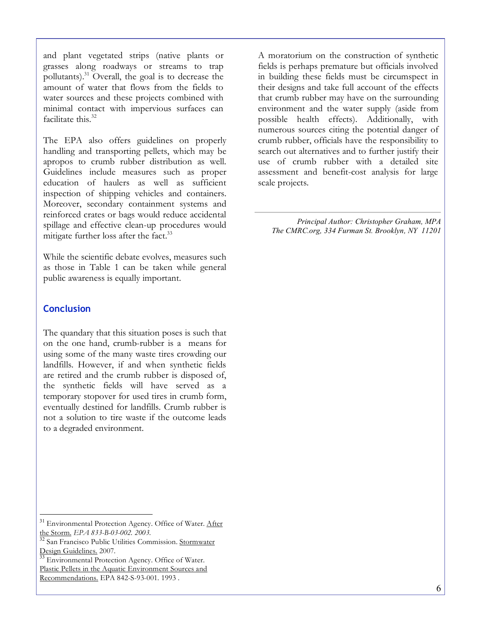6

The EPA also offers guidelines on properly handling and transporting pellets, which may be apropos to crumb rubber distribution as well. Guidelines include measures such as proper education of haulers as well as sufficient inspection of shipping vehicles and containers. Moreover, secondary containment systems and reinforced crates or bags would reduce accidental spillage and effective clean-up procedures would mitigate further loss after the fact.<sup>33</sup>

While the scientific debate evolves, measures such as those in Table 1 can be taken while general public awareness is equally important.

## **Conclusion**

The quandary that this situation poses is such that on the one hand, crumb-rubber is a means for using some of the many waste tires crowding our landfills. However, if and when synthetic fields are retired and the crumb rubber is disposed of, the synthetic fields will have served as a temporary stopover for used tires in crumb form, eventually destined for landfills. Crumb rubber is not a solution to tire waste if the outcome leads to a degraded environment.

A moratorium on the construction of synthetic fields is perhaps premature but officials involved in building these fields must be circumspect in their designs and take full account of the effects that crumb rubber may have on the surrounding environment and the water supply (aside from possible health effects). Additionally, with numerous sources citing the potential danger of crumb rubber, officials have the responsibility to search out alternatives and to further justify their use of crumb rubber with a detailed site assessment and benefit-cost analysis for large scale projects.

*Principal Author: Christopher Graham, MPA The CMRC.org, 334 Furman St. Brooklyn, NY 11201*

and plant vegetated strips (native plants or grasses along roadways or streams to trap pollutants). <sup>31</sup> Overall, the goal is to decrease the amount of water that flows from the fields to water sources and these projects combined with minimal contact with impervious surfaces can facilitate this. 32

<sup>&</sup>lt;sup>31</sup> Environmental Protection Agency. Office of Water. After

the Storm. *EPA* 833-B-03-002. 2003.<br><sup>32</sup> San Francisco Public Utilities Commission. <u>Stormwater</u><br>Design Guidelines. 2007.

<sup>&</sup>lt;sup>33</sup> Environmental Protection Agency. Office of Water. Plastic Pellets in the Aquatic Environment Sources and Recommendations. EPA 842-S-93-001. 1993 .